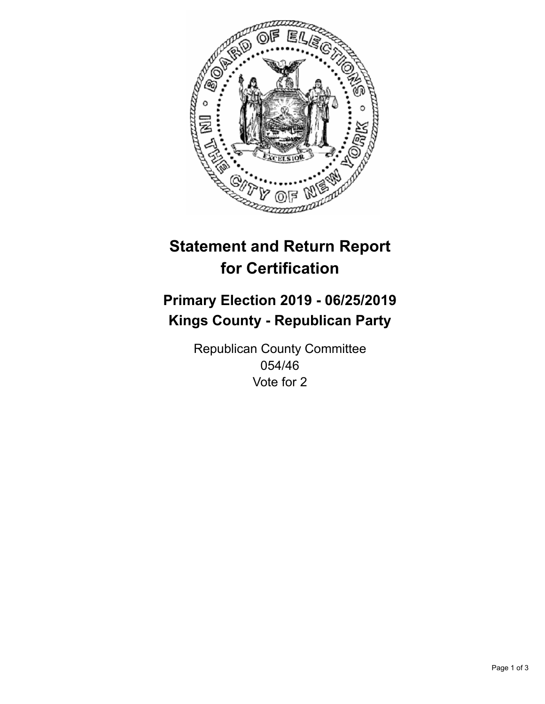

## **Statement and Return Report for Certification**

## **Primary Election 2019 - 06/25/2019 Kings County - Republican Party**

Republican County Committee 054/46 Vote for 2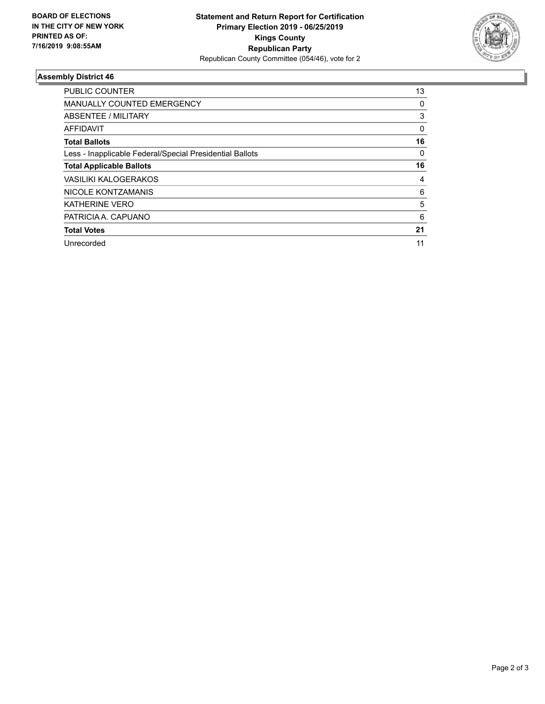

## **Assembly District 46**

| <b>PUBLIC COUNTER</b>                                    | 13 |
|----------------------------------------------------------|----|
| <b>MANUALLY COUNTED EMERGENCY</b>                        | 0  |
| ABSENTEE / MILITARY                                      | 3  |
| AFFIDAVIT                                                | 0  |
| <b>Total Ballots</b>                                     | 16 |
| Less - Inapplicable Federal/Special Presidential Ballots | 0  |
| <b>Total Applicable Ballots</b>                          | 16 |
| <b>VASILIKI KALOGERAKOS</b>                              | 4  |
| NICOLE KONTZAMANIS                                       | 6  |
| <b>KATHERINE VERO</b>                                    | 5  |
| PATRICIA A. CAPUANO                                      | 6  |
| <b>Total Votes</b>                                       | 21 |
| Unrecorded                                               | 11 |